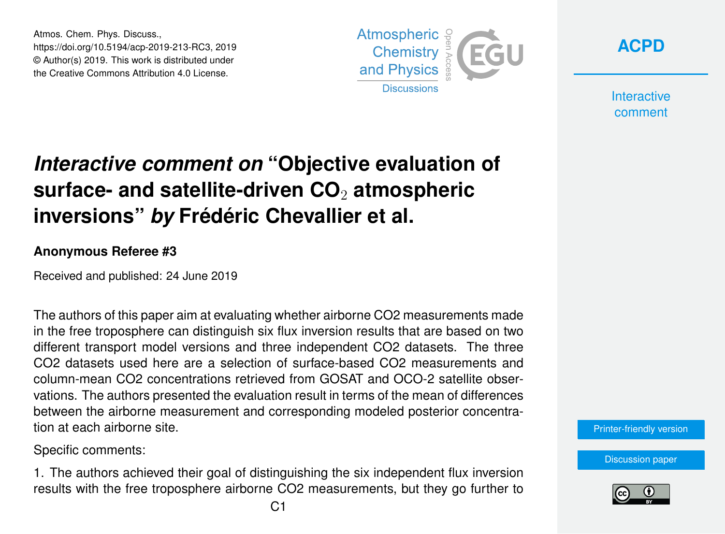Atmos. Chem. Phys. Discuss., https://doi.org/10.5194/acp-2019-213-RC3, 2019 © Author(s) 2019. This work is distributed under the Creative Commons Attribution 4.0 License.



**[ACPD](https://www.atmos-chem-phys-discuss.net/)**

**Interactive** comment

## *Interactive comment on* **"Objective evaluation of surface- and satellite-driven CO**<sup>2</sup> **atmospheric inversions"** *by* **Frédéric Chevallier et al.**

## **Anonymous Referee #3**

Received and published: 24 June 2019

The authors of this paper aim at evaluating whether airborne CO2 measurements made in the free troposphere can distinguish six flux inversion results that are based on two different transport model versions and three independent CO2 datasets. The three CO2 datasets used here are a selection of surface-based CO2 measurements and column-mean CO2 concentrations retrieved from GOSAT and OCO-2 satellite observations. The authors presented the evaluation result in terms of the mean of differences between the airborne measurement and corresponding modeled posterior concentration at each airborne site.

Specific comments:

1. The authors achieved their goal of distinguishing the six independent flux inversion results with the free troposphere airborne CO2 measurements, but they go further to

[Printer-friendly version](https://www.atmos-chem-phys-discuss.net/acp-2019-213/acp-2019-213-RC3-print.pdf)

[Discussion paper](https://www.atmos-chem-phys-discuss.net/acp-2019-213)

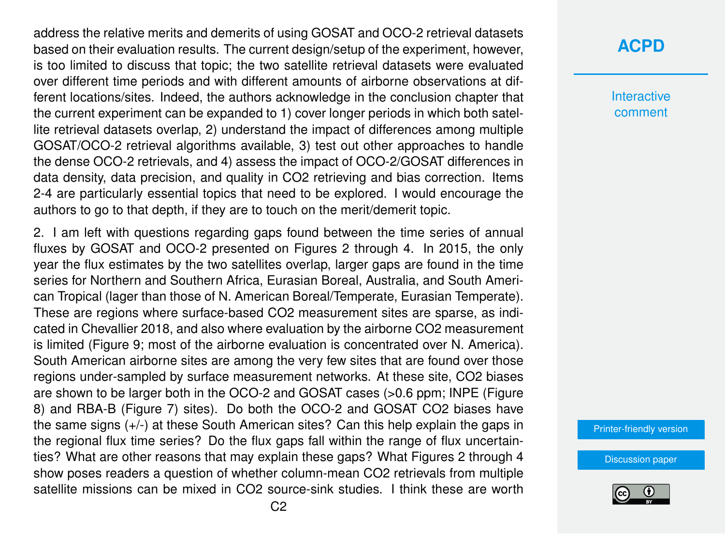address the relative merits and demerits of using GOSAT and OCO-2 retrieval datasets based on their evaluation results. The current design/setup of the experiment, however, is too limited to discuss that topic; the two satellite retrieval datasets were evaluated over different time periods and with different amounts of airborne observations at different locations/sites. Indeed, the authors acknowledge in the conclusion chapter that the current experiment can be expanded to 1) cover longer periods in which both satellite retrieval datasets overlap, 2) understand the impact of differences among multiple GOSAT/OCO-2 retrieval algorithms available, 3) test out other approaches to handle the dense OCO-2 retrievals, and 4) assess the impact of OCO-2/GOSAT differences in data density, data precision, and quality in CO2 retrieving and bias correction. Items 2-4 are particularly essential topics that need to be explored. I would encourage the authors to go to that depth, if they are to touch on the merit/demerit topic.

2. I am left with questions regarding gaps found between the time series of annual fluxes by GOSAT and OCO-2 presented on Figures 2 through 4. In 2015, the only year the flux estimates by the two satellites overlap, larger gaps are found in the time series for Northern and Southern Africa, Eurasian Boreal, Australia, and South American Tropical (lager than those of N. American Boreal/Temperate, Eurasian Temperate). These are regions where surface-based CO2 measurement sites are sparse, as indicated in Chevallier 2018, and also where evaluation by the airborne CO2 measurement is limited (Figure 9; most of the airborne evaluation is concentrated over N. America). South American airborne sites are among the very few sites that are found over those regions under-sampled by surface measurement networks. At these site, CO2 biases are shown to be larger both in the OCO-2 and GOSAT cases (>0.6 ppm; INPE (Figure 8) and RBA-B (Figure 7) sites). Do both the OCO-2 and GOSAT CO2 biases have the same signs (+/-) at these South American sites? Can this help explain the gaps in the regional flux time series? Do the flux gaps fall within the range of flux uncertainties? What are other reasons that may explain these gaps? What Figures 2 through 4 show poses readers a question of whether column-mean CO2 retrievals from multiple satellite missions can be mixed in CO2 source-sink studies. I think these are worth **[ACPD](https://www.atmos-chem-phys-discuss.net/)**

**Interactive** comment

[Printer-friendly version](https://www.atmos-chem-phys-discuss.net/acp-2019-213/acp-2019-213-RC3-print.pdf)

[Discussion paper](https://www.atmos-chem-phys-discuss.net/acp-2019-213)